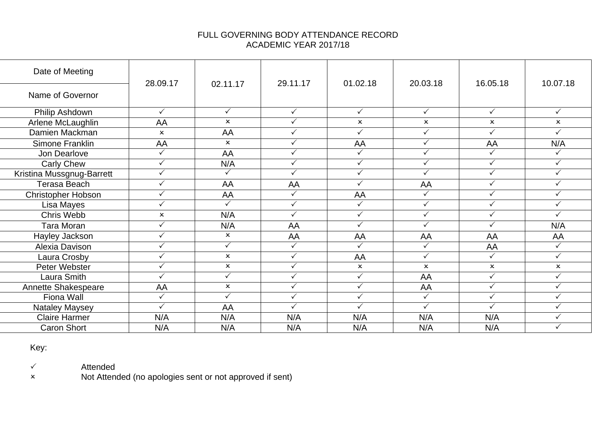## FULL GOVERNING BODY ATTENDANCE RECORD ACADEMIC YEAR 2017/18

| Date of Meeting           | 28.09.17                  | 02.11.17                  | 29.11.17     | 01.02.18                  | 20.03.18     | 16.05.18                  | 10.07.18                  |
|---------------------------|---------------------------|---------------------------|--------------|---------------------------|--------------|---------------------------|---------------------------|
| Name of Governor          |                           |                           |              |                           |              |                           |                           |
| Philip Ashdown            | $\checkmark$              | $\checkmark$              | $\checkmark$ | $\checkmark$              | $\checkmark$ | $\checkmark$              | $\checkmark$              |
| Arlene McLaughlin         | AA                        | $\mathsf{x}$              | $\checkmark$ | $\mathsf{x}$              | $\mathsf{x}$ | $\mathsf{x}$              | $\mathsf{x}$              |
| Damien Mackman            | $\mathsf{x}$              | AA                        | $\checkmark$ | $\checkmark$              | $\checkmark$ | $\checkmark$              | ✓                         |
| Simone Franklin           | AA                        | $\boldsymbol{\mathsf{x}}$ | $\checkmark$ | AA                        | $\checkmark$ | AA                        | N/A                       |
| Jon Dearlove              | $\checkmark$              | AA                        | ✓            |                           | $\checkmark$ | ✓                         | $\checkmark$              |
| <b>Carly Chew</b>         | $\checkmark$              | N/A                       | $\checkmark$ | $\checkmark$              | $\checkmark$ | $\checkmark$              | $\checkmark$              |
| Kristina Mussgnug-Barrett | $\checkmark$              | $\checkmark$              | ✓            | $\checkmark$              | $\checkmark$ | $\checkmark$              | ✓                         |
| Terasa Beach              | $\checkmark$              | AA                        | AA           | $\checkmark$              | AA           | $\checkmark$              | $\checkmark$              |
| <b>Christopher Hobson</b> | ✓                         | AA                        | $\checkmark$ | AA                        | ✓            | $\checkmark$              | ✓                         |
| Lisa Mayes                | ✓                         | $\checkmark$              | ✓            |                           | $\checkmark$ | ✓                         | $\checkmark$              |
| Chris Webb                | $\boldsymbol{\mathsf{x}}$ | N/A                       | $\checkmark$ | $\checkmark$              | $\checkmark$ | $\checkmark$              | $\checkmark$              |
| Tara Moran                | ✓                         | N/A                       | AA           | $\checkmark$              | $\checkmark$ | ✓                         | N/A                       |
| Hayley Jackson            | $\checkmark$              | $\boldsymbol{\mathsf{x}}$ | AA           | AA                        | AA           | AA                        | AA                        |
| Alexia Davison            | ✓                         | $\checkmark$              | $\checkmark$ | ✓                         | ✓            | AA                        | $\checkmark$              |
| Laura Crosby              | $\checkmark$              | $\boldsymbol{\mathsf{x}}$ | $\checkmark$ | AA                        | $\checkmark$ | $\checkmark$              | ✓                         |
| Peter Webster             | ✓                         | $\boldsymbol{\mathsf{x}}$ | ✓            | $\boldsymbol{\mathsf{x}}$ | $\mathsf{x}$ | $\boldsymbol{\mathsf{x}}$ | $\boldsymbol{\mathsf{x}}$ |
| Laura Smith               | ✓                         | $\checkmark$              | $\checkmark$ | ✓                         | AA           | $\checkmark$              | ✓                         |
| Annette Shakespeare       | AA                        | $\boldsymbol{\mathsf{x}}$ | $\checkmark$ | $\checkmark$              | AA           | $\checkmark$              | $\checkmark$              |
| Fiona Wall                | ✓                         | $\checkmark$              | $\checkmark$ | ✓                         | ✓            | $\checkmark$              | ✓                         |
| <b>Nataley Maysey</b>     | ✓                         | AA                        | ✓            | ✓                         | $\checkmark$ | ✓                         | $\checkmark$              |
| <b>Claire Harmer</b>      | N/A                       | N/A                       | N/A          | N/A                       | N/A          | N/A                       | $\checkmark$              |
| <b>Caron Short</b>        | N/A                       | N/A                       | N/A          | N/A                       | N/A          | N/A                       | ✓                         |

Key:

Attended

Not Attended (no apologies sent or not approved if sent)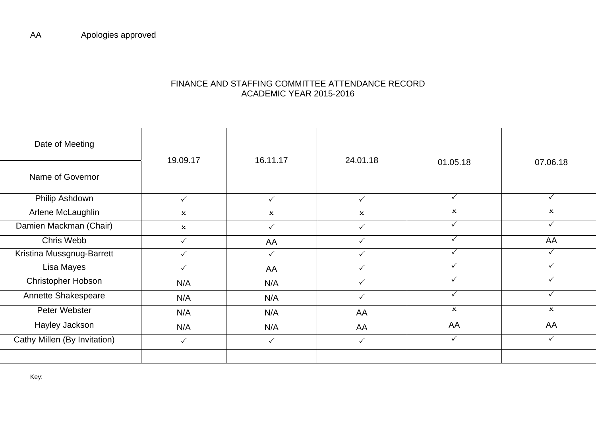## FINANCE AND STAFFING COMMITTEE ATTENDANCE RECORD ACADEMIC YEAR 2015-2016

| Date of Meeting              | 19.09.17                  | 16.11.17                  | 24.01.18                  |                           |                           |
|------------------------------|---------------------------|---------------------------|---------------------------|---------------------------|---------------------------|
| Name of Governor             |                           |                           |                           | 01.05.18                  | 07.06.18                  |
| Philip Ashdown               | $\checkmark$              | $\checkmark$              | $\checkmark$              | $\checkmark$              |                           |
| Arlene McLaughlin            | $\boldsymbol{\mathsf{x}}$ | $\boldsymbol{\mathsf{x}}$ | $\boldsymbol{\mathsf{x}}$ | $\boldsymbol{\mathsf{x}}$ | $\boldsymbol{\mathsf{x}}$ |
| Damien Mackman (Chair)       | $\boldsymbol{\mathsf{x}}$ | $\checkmark$              | $\checkmark$              | ✓                         |                           |
| Chris Webb                   | $\checkmark$              | AA                        | ✓                         |                           | AA                        |
| Kristina Mussgnug-Barrett    | $\checkmark$              | $\checkmark$              | $\checkmark$              |                           |                           |
| Lisa Mayes                   | $\checkmark$              | AA                        | $\checkmark$              | ✓                         |                           |
| Christopher Hobson           | N/A                       | N/A                       | $\checkmark$              | $\checkmark$              |                           |
| Annette Shakespeare          | N/A                       | N/A                       | $\checkmark$              | ✓                         | ✓                         |
| Peter Webster                | N/A                       | N/A                       | AA                        | $\boldsymbol{\mathsf{x}}$ | $\boldsymbol{\mathsf{x}}$ |
| Hayley Jackson               | N/A                       | N/A                       | AA                        | AA                        | AA                        |
| Cathy Millen (By Invitation) | $\checkmark$              | $\checkmark$              | $\checkmark$              | $\checkmark$              |                           |
|                              |                           |                           |                           |                           |                           |

Key: